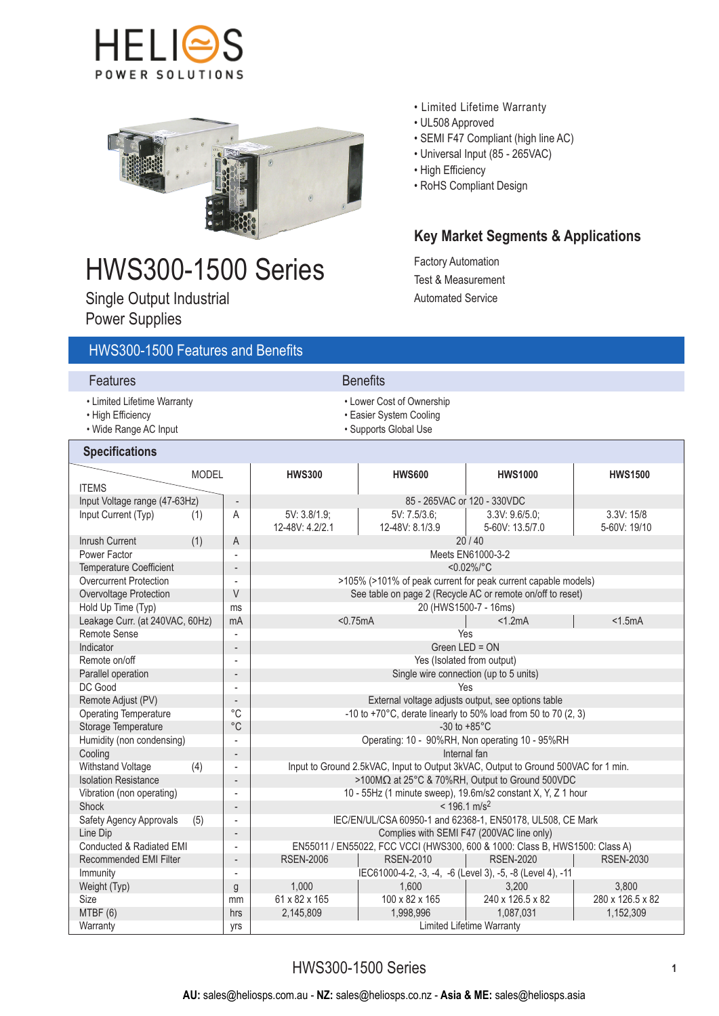



# HWS300-1500 Series

Single Output Industrial Power Supplies

### • Limited Lifetime Warranty

- UL508 Approved
- SEMI F47 Compliant (high line AC)
- Universal Input (85 265VAC)
- High Efficiency
- RoHS Compliant Design

## **Key Market Segments & Applications**

Factory Automation Test & Measurement Automated Service

| <b>HWS300-1500 Features and Benefits</b>                                  |                                       |                                                                                                         |                                                                               |                                                           |                  |  |  |
|---------------------------------------------------------------------------|---------------------------------------|---------------------------------------------------------------------------------------------------------|-------------------------------------------------------------------------------|-----------------------------------------------------------|------------------|--|--|
| <b>Features</b>                                                           |                                       |                                                                                                         | <b>Benefits</b>                                                               |                                                           |                  |  |  |
| • Limited Lifetime Warranty<br>• High Efficiency<br>• Wide Range AC Input |                                       |                                                                                                         | • Lower Cost of Ownership<br>• Easier System Cooling<br>· Supports Global Use |                                                           |                  |  |  |
| <b>Specifications</b>                                                     |                                       |                                                                                                         |                                                                               |                                                           |                  |  |  |
| <b>MODEL</b><br><b>ITEMS</b>                                              |                                       | <b>HWS300</b>                                                                                           | <b>HWS600</b>                                                                 | <b>HWS1000</b>                                            | <b>HWS1500</b>   |  |  |
| Input Voltage range (47-63Hz)                                             | $\overline{\phantom{a}}$              | 85 - 265VAC or 120 - 330VDC                                                                             |                                                                               |                                                           |                  |  |  |
| Input Current (Typ)<br>(1)                                                | A                                     | 5V: 3.8/1.9;                                                                                            | 5V: 7.5/3.6:<br>3.3V: 9.6/5.0<br>3.3V: 15/8                                   |                                                           |                  |  |  |
|                                                                           |                                       | 12-48V: 4.2/2.1                                                                                         | 12-48V: 8.1/3.9                                                               | 5-60V: 13.5/7.0                                           | 5-60V: 19/10     |  |  |
| <b>Inrush Current</b><br>(1)                                              | A                                     |                                                                                                         |                                                                               | 20/40                                                     |                  |  |  |
| Power Factor                                                              | $\overline{a}$                        |                                                                                                         |                                                                               | Meets EN61000-3-2                                         |                  |  |  |
| <b>Temperature Coefficient</b>                                            | $<0.02\%/^{\circ}C$<br>$\overline{a}$ |                                                                                                         |                                                                               |                                                           |                  |  |  |
| <b>Overcurrent Protection</b>                                             | $\blacksquare$                        |                                                                                                         | >105% (>101% of peak current for peak current capable models)                 |                                                           |                  |  |  |
| Overvoltage Protection                                                    | $\vee$                                |                                                                                                         | See table on page 2 (Recycle AC or remote on/off to reset)                    |                                                           |                  |  |  |
| Hold Up Time (Typ)                                                        | ms                                    | 20 (HWS1500-7 - 16ms)                                                                                   |                                                                               |                                                           |                  |  |  |
| Leakage Curr. (at 240VAC, 60Hz)                                           | mA                                    | < 1.5mA<br>< 0.75mA<br><1.2mA                                                                           |                                                                               |                                                           |                  |  |  |
| <b>Remote Sense</b>                                                       | $\overline{\phantom{a}}$              |                                                                                                         | Yes                                                                           |                                                           |                  |  |  |
| Indicator                                                                 | $\overline{a}$                        | Green LED = ON                                                                                          |                                                                               |                                                           |                  |  |  |
| Remote on/off                                                             | $\overline{a}$                        | Yes (Isolated from output)                                                                              |                                                                               |                                                           |                  |  |  |
| Parallel operation                                                        | $\overline{a}$                        | Single wire connection (up to 5 units)                                                                  |                                                                               |                                                           |                  |  |  |
| DC Good                                                                   | $\blacksquare$                        | Yes                                                                                                     |                                                                               |                                                           |                  |  |  |
| Remote Adjust (PV)                                                        | $\overline{a}$                        | External voltage adjusts output, see options table                                                      |                                                                               |                                                           |                  |  |  |
| <b>Operating Temperature</b>                                              | °C                                    | -10 to +70 $^{\circ}$ C, derate linearly to 50% load from 50 to 70 (2, 3)                               |                                                                               |                                                           |                  |  |  |
| Storage Temperature                                                       | $^{\circ}$ C                          | -30 to $+85^{\circ}$ C                                                                                  |                                                                               |                                                           |                  |  |  |
| Humidity (non condensing)                                                 | $\overline{\phantom{a}}$              | Operating: 10 - 90%RH, Non operating 10 - 95%RH                                                         |                                                                               |                                                           |                  |  |  |
| Cooling                                                                   | $\overline{a}$                        | Internal fan                                                                                            |                                                                               |                                                           |                  |  |  |
| Withstand Voltage<br>(4)                                                  | $\overline{a}$                        | Input to Ground 2.5kVAC, Input to Output 3kVAC, Output to Ground 500VAC for 1 min.                      |                                                                               |                                                           |                  |  |  |
| <b>Isolation Resistance</b>                                               | $\overline{a}$                        | >100MΩ at 25°C & 70%RH, Output to Ground 500VDC                                                         |                                                                               |                                                           |                  |  |  |
| Vibration (non operating)                                                 | $\overline{a}$                        | 10 - 55Hz (1 minute sweep), 19.6m/s2 constant X, Y, Z 1 hour                                            |                                                                               |                                                           |                  |  |  |
| <b>Shock</b><br>Safety Agency Approvals<br>(5)                            | $\overline{a}$<br>$\frac{1}{2}$       | $< 196.1$ m/s <sup>2</sup>                                                                              |                                                                               |                                                           |                  |  |  |
| Line Dip                                                                  | $\overline{a}$                        | IEC/EN/UL/CSA 60950-1 and 62368-1, EN50178, UL508, CE Mark<br>Complies with SEMI F47 (200VAC line only) |                                                                               |                                                           |                  |  |  |
| Conducted & Radiated EMI                                                  | $\frac{1}{2}$                         | EN55011 / EN55022, FCC VCCI (HWS300, 600 & 1000: Class B, HWS1500: Class A)                             |                                                                               |                                                           |                  |  |  |
| <b>Recommended EMI Filter</b><br><b>RSEN-2006</b><br>$\overline{a}$       |                                       |                                                                                                         | <b>RSEN-2030</b><br><b>RSEN-2010</b><br><b>RSEN-2020</b>                      |                                                           |                  |  |  |
| Immunity<br>$\overline{\phantom{a}}$                                      |                                       |                                                                                                         |                                                                               | IEC61000-4-2, -3, -4, -6 (Level 3), -5, -8 (Level 4), -11 |                  |  |  |
| Weight (Typ)                                                              | g                                     | 1,000                                                                                                   | 1,600                                                                         | 3.200                                                     | 3,800            |  |  |
| <b>Size</b>                                                               | mm                                    | 61 x 82 x 165                                                                                           | 100 x 82 x 165                                                                | 240 x 126.5 x 82                                          | 280 x 126.5 x 82 |  |  |
| MTBF (6)                                                                  | hrs                                   | 2,145,809                                                                                               | 1,998,996<br>1,087,031                                                        |                                                           | 1,152,309        |  |  |
| Warranty                                                                  | yrs                                   | Limited Lifetime Warranty                                                                               |                                                                               |                                                           |                  |  |  |
|                                                                           |                                       |                                                                                                         |                                                                               |                                                           |                  |  |  |

## HWS300-1500 Series **<sup>1</sup>**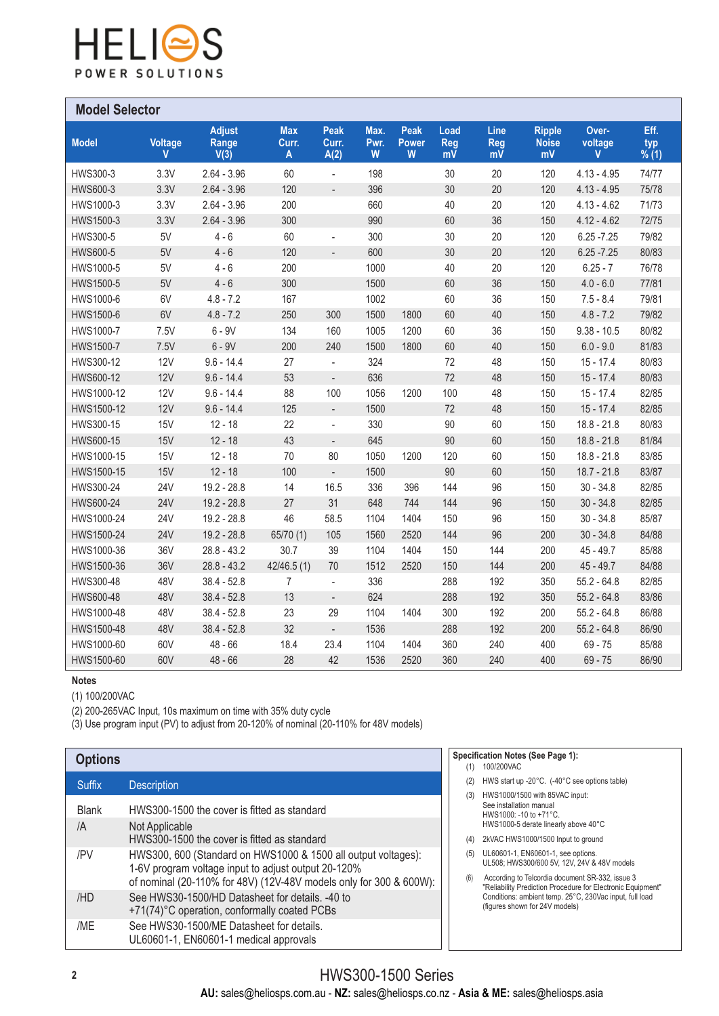

| <b>Model Selector</b> |              |                                |                          |                              |                   |                           |                          |                                       |                                     |                       |                            |  |
|-----------------------|--------------|--------------------------------|--------------------------|------------------------------|-------------------|---------------------------|--------------------------|---------------------------------------|-------------------------------------|-----------------------|----------------------------|--|
| <b>Model</b>          | Voltage<br>V | <b>Adjust</b><br>Range<br>V(3) | <b>Max</b><br>Curr.<br>A | <b>Peak</b><br>Curr.<br>A(2) | Max.<br>Pwr.<br>W | <b>Peak</b><br>Power<br>W | Load<br><b>Reg</b><br>mV | Line<br><b>Reg</b><br>$m\overline{V}$ | <b>Ripple</b><br><b>Noise</b><br>mV | Over-<br>voltage<br>V | Eff.<br>$~^{typ}_{\%~(1)}$ |  |
| HWS300-3              | 3.3V         | $2.64 - 3.96$                  | 60                       | $\overline{\phantom{a}}$     | 198               |                           | 30                       | 20                                    | 120                                 | $4.13 - 4.95$         | 74/77                      |  |
| HWS600-3              | 3.3V         | $2.64 - 3.96$                  | 120                      | $\overline{\phantom{a}}$     | 396               |                           | 30                       | 20                                    | 120                                 | $4.13 - 4.95$         | 75/78                      |  |
| HWS1000-3             | 3.3V         | $2.64 - 3.96$                  | 200                      |                              | 660               |                           | 40                       | 20                                    | 120                                 | $4.13 - 4.62$         | 71/73                      |  |
| HWS1500-3             | 3.3V         | $2.64 - 3.96$                  | 300                      |                              | 990               |                           | 60                       | 36                                    | 150                                 | $4.12 - 4.62$         | 72/75                      |  |
| HWS300-5              | 5V           | $4 - 6$                        | 60                       | $\frac{1}{2}$                | 300               |                           | 30                       | 20                                    | 120                                 | $6.25 - 7.25$         | 79/82                      |  |
| <b>HWS600-5</b>       | 5V           | $4 - 6$                        | 120                      | $\frac{1}{2}$                | 600               |                           | 30                       | 20                                    | 120                                 | $6.25 - 7.25$         | 80/83                      |  |
| HWS1000-5             | 5V           | $4 - 6$                        | 200                      |                              | 1000              |                           | 40                       | 20                                    | 120                                 | $6.25 - 7$            | 76/78                      |  |
| HWS1500-5             | 5V           | $4 - 6$                        | 300                      |                              | 1500              |                           | 60                       | 36                                    | 150                                 | $4.0 - 6.0$           | 77/81                      |  |
| HWS1000-6             | 6V           | $4.8 - 7.2$                    | 167                      |                              | 1002              |                           | 60                       | 36                                    | 150                                 | $7.5 - 8.4$           | 79/81                      |  |
| HWS1500-6             | 6V           | $4.8 - 7.2$                    | 250                      | 300                          | 1500              | 1800                      | 60                       | 40                                    | 150                                 | $4.8 - 7.2$           | 79/82                      |  |
| HWS1000-7             | 7.5V         | $6 - 9V$                       | 134                      | 160                          | 1005              | 1200                      | 60                       | 36                                    | 150                                 | $9.38 - 10.5$         | 80/82                      |  |
| HWS1500-7             | 7.5V         | $6 - 9V$                       | 200                      | 240                          | 1500              | 1800                      | 60                       | 40                                    | 150                                 | $6.0 - 9.0$           | 81/83                      |  |
| HWS300-12             | <b>12V</b>   | $9.6 - 14.4$                   | 27                       | $\overline{\phantom{a}}$     | 324               |                           | 72                       | 48                                    | 150                                 | $15 - 17.4$           | 80/83                      |  |
| HWS600-12             | 12V          | $9.6 - 14.4$                   | 53                       | $\overline{\phantom{a}}$     | 636               |                           | 72                       | 48                                    | 150                                 | $15 - 17.4$           | 80/83                      |  |
| HWS1000-12            | 12V          | $9.6 - 14.4$                   | 88                       | 100                          | 1056              | 1200                      | 100                      | 48                                    | 150                                 | $15 - 17.4$           | 82/85                      |  |
| HWS1500-12            | 12V          | $9.6 - 14.4$                   | 125                      | $\overline{\phantom{a}}$     | 1500              |                           | 72                       | 48                                    | 150                                 | $15 - 17.4$           | 82/85                      |  |
| HWS300-15             | 15V          | $12 - 18$                      | 22                       | $\overline{\phantom{a}}$     | 330               |                           | 90                       | 60                                    | 150                                 | $18.8 - 21.8$         | 80/83                      |  |
| HWS600-15             | 15V          | $12 - 18$                      | 43                       | $\overline{\phantom{a}}$     | 645               |                           | 90                       | 60                                    | 150                                 | $18.8 - 21.8$         | 81/84                      |  |
| HWS1000-15            | <b>15V</b>   | $12 - 18$                      | 70                       | 80                           | 1050              | 1200                      | 120                      | 60                                    | 150                                 | $18.8 - 21.8$         | 83/85                      |  |
| HWS1500-15            | 15V          | $12 - 18$                      | 100                      | $\blacksquare$               | 1500              |                           | 90                       | 60                                    | 150                                 | $18.7 - 21.8$         | 83/87                      |  |
| HWS300-24             | 24V          | $19.2 - 28.8$                  | 14                       | 16.5                         | 336               | 396                       | 144                      | 96                                    | 150                                 | $30 - 34.8$           | 82/85                      |  |
| HWS600-24             | <b>24V</b>   | 19.2 - 28.8                    | 27                       | 31                           | 648               | 744                       | 144                      | 96                                    | 150                                 | $30 - 34.8$           | 82/85                      |  |
| HWS1000-24            | <b>24V</b>   | 19.2 - 28.8                    | 46                       | 58.5                         | 1104              | 1404                      | 150                      | 96                                    | 150                                 | $30 - 34.8$           | 85/87                      |  |
| HWS1500-24            | <b>24V</b>   | $19.2 - 28.8$                  | 65/70 (1)                | 105                          | 1560              | 2520                      | 144                      | 96                                    | 200                                 | $30 - 34.8$           | 84/88                      |  |
| HWS1000-36            | 36V          | $28.8 - 43.2$                  | 30.7                     | 39                           | 1104              | 1404                      | 150                      | 144                                   | 200                                 | $45 - 49.7$           | 85/88                      |  |
| HWS1500-36            | <b>36V</b>   | $28.8 - 43.2$                  | 42/46.5(1)               | 70                           | 1512              | 2520                      | 150                      | 144                                   | 200                                 | $45 - 49.7$           | 84/88                      |  |
| HWS300-48             | 48V          | $38.4 - 52.8$                  | $\overline{7}$           | $\blacksquare$               | 336               |                           | 288                      | 192                                   | 350                                 | $55.2 - 64.8$         | 82/85                      |  |
| HWS600-48             | 48V          | $38.4 - 52.8$                  | 13                       | $\overline{\phantom{a}}$     | 624               |                           | 288                      | 192                                   | 350                                 | $55.2 - 64.8$         | 83/86                      |  |
| HWS1000-48            | 48V          | $38.4 - 52.8$                  | 23                       | 29                           | 1104              | 1404                      | 300                      | 192                                   | 200                                 | $55.2 - 64.8$         | 86/88                      |  |
| HWS1500-48            | 48V          | $38.4 - 52.8$                  | 32                       | $\Box$                       | 1536              |                           | 288                      | 192                                   | 200                                 | $55.2 - 64.8$         | 86/90                      |  |
| HWS1000-60            | 60V          | $48 - 66$                      | 18.4                     | 23.4                         | 1104              | 1404                      | 360                      | 240                                   | 400                                 | $69 - 75$             | 85/88                      |  |
| HWS1500-60            | 60V          | $48 - 66$                      | 28                       | 42                           | 1536              | 2520                      | 360                      | 240                                   | 400                                 | $69 - 75$             | 86/90                      |  |

#### **Notes**

(1) 100/200VAC

(2) 200-265VAC Input, 10s maximum on time with 35% duty cycle

(3) Use program input (PV) to adjust from 20-120% of nominal (20-110% for 48V models)

| <b>Options</b> |                                                                                                                                                                                            |  |  |  |
|----------------|--------------------------------------------------------------------------------------------------------------------------------------------------------------------------------------------|--|--|--|
| <b>Suffix</b>  | <b>Description</b>                                                                                                                                                                         |  |  |  |
| <b>Blank</b>   | HWS300-1500 the cover is fitted as standard                                                                                                                                                |  |  |  |
| /A             | Not Applicable<br>HWS300-1500 the cover is fitted as standard                                                                                                                              |  |  |  |
| /PV            | HWS300, 600 (Standard on HWS1000 & 1500 all output voltages):<br>1-6V program voltage input to adjust output 20-120%<br>of nominal (20-110% for 48V) (12V-48V models only for 300 & 600W): |  |  |  |
| /HD            | See HWS30-1500/HD Datasheet for details. -40 to<br>+71(74)°C operation, conformally coated PCBs                                                                                            |  |  |  |
| /ME            | See HWS30-1500/ME Datasheet for details.<br>UL60601-1, EN60601-1 medical approvals                                                                                                         |  |  |  |

#### **Specification Notes (See Page 1):**

- (1) 100/200VAC
- (2) HWS start up -20°C. (-40°C see options table)
- (3) HWS1000/1500 with 85VAC input: See installation manual HWS1000: -10 to +71°C. HWS1000-5 derate linearly above 40°C
- (4) 2kVAC HWS1000/1500 Input to ground
- (5) UL60601-1, EN60601-1, see options. UL508; HWS300/600 5V, 12V, 24V & 48V models
- (6) According to Telcordia document SR-332, issue 3 "Reliability Prediction Procedure for Electronic Equipment" Conditions: ambient temp. 25°C, 230Vac input, full load (figures shown for 24V models)